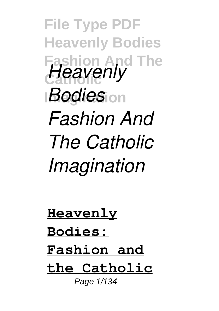**File Type PDF Heavenly Bodies Fashion And The Heavenly** *Bodies***<sub>ion</sub>** *Fashion And The Catholic Imagination*

**Heavenly Bodies: Fashion and the Catholic** Page 1/134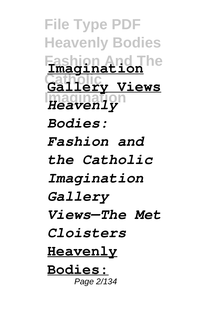**File Type PDF Heavenly Bodies Fashion And The Imagination Catholic Gallery Views Imagination** *Heavenly Bodies: Fashion and the Catholic Imagination Gallery Views—The Met Cloisters* **Heavenly Bodies:** Page 2/134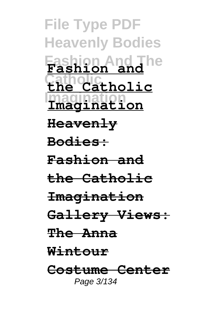**File Type PDF Heavenly Bodies Fashion And The Fashion and Catholic the Catholic Imagination Heavenly Bodies: Fashion and the Catholic Imagination Gallery Views: The Anna Wintour Costume Center** Page 3/134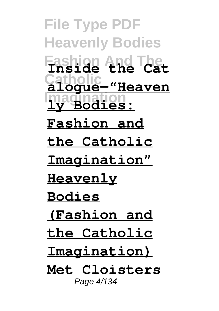**File Type PDF Heavenly Bodies Fashion And The Inside the Cat Catholic alogue—"Heaven Imagination ly Bodies: Fashion and the Catholic Imagination" Heavenly Bodies (Fashion and the Catholic Imagination) Met Cloisters** Page 4/134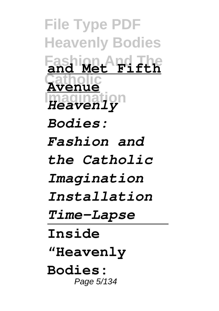**File Type PDF Heavenly Bodies Fashion And The and Met Fifth Catholic Avenue Imagination** *Heavenly Bodies: Fashion and the Catholic Imagination Installation Time-Lapse* **Inside "Heavenly Bodies:** Page 5/134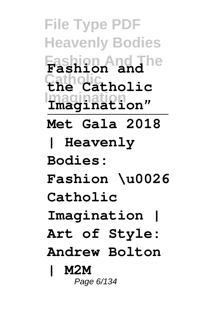**File Type PDF Heavenly Bodies Fashion And The Fashion and Catholic the Catholic Imagination Imagination" Met Gala 2018 | Heavenly Bodies: Fashion \u0026 Catholic Imagination | Art of Style: Andrew Bolton | M2M** Page 6/134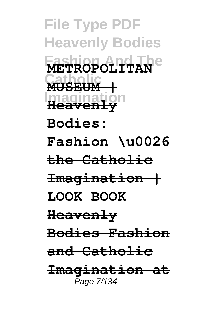**File Type PDF Heavenly Bodies Fashion And The METROPOLITAN Catholic MUSEUM | Imagination Heavenly Bodies: Fashion \u0026 the Catholic Imagination | LOOK BOOK Heavenly Bodies Fashion and Catholic Imagination at** Page 7/134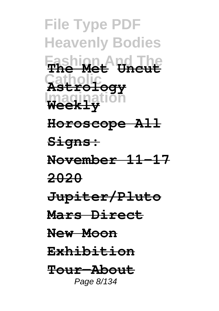**File Type PDF Heavenly Bodies Fashion And The The Met Uncut Catholic Astrology Imagination Weekly Horoscope All Signs: November 11-17 2020 Jupiter/Pluto Mars Direct New Moon Exhibition Tour—About** Page 8/134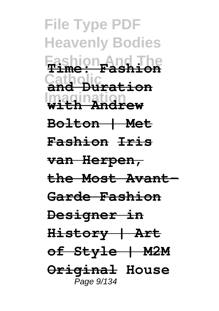**File Type PDF Heavenly Bodies Fashion And The Time: Fashion Catholic and Duration Imagination with Andrew Bolton | Met Fashion Iris van Herpen, the Most Avant-Garde Fashion Designer in History | Art of Style | M2M Original House** Page 9/134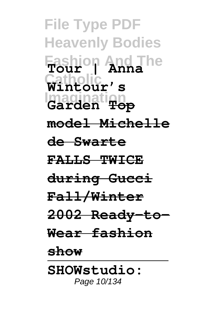**File Type PDF Heavenly Bodies Fashion And The Tour | Anna Catholic Wintour's Imagination Garden Top model Michelle de Swarte FALLS TWICE during Gucci Fall/Winter 2002 Ready-to-Wear fashion show SHOWstudio:** Page 10/134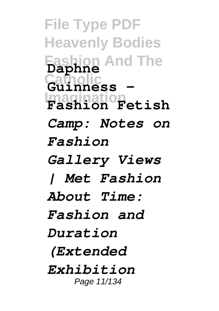**File Type PDF Heavenly Bodies Fashion And The Catholic Guinness - Imagination Fashion Fetish Daphne** *Camp: Notes on Fashion Gallery Views | Met Fashion About Time: Fashion and Duration (Extended Exhibition* Page 11/134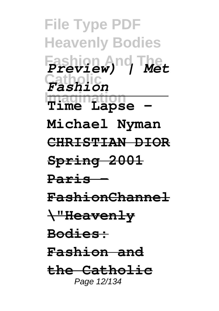**File Type PDF Heavenly Bodies Fashion And The** *Preview) | Met* **Catholic** *Fashion* **Imagination Time Lapse - Michael Nyman CHRISTIAN DIOR Spring 2001 Paris - FashionChannel \"Heavenly Bodies: Fashion and the Catholic** Page 12/134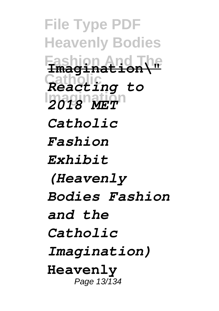**File Type PDF Heavenly Bodies Fashion And The Imagination\" Catholic** *Reacting to* **Imagination** *2018 MET Catholic Fashion Exhibit (Heavenly Bodies Fashion and the Catholic Imagination)* **Heavenly** Page 13/134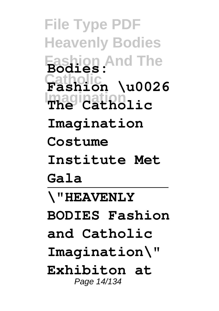**File Type PDF Heavenly Bodies Fashion And The Bodies: Catholic Fashion \u0026 Imagination The Catholic Imagination Costume Institute Met Gala \"HEAVENLY BODIES Fashion and Catholic Imagination\" Exhibiton at** Page 14/134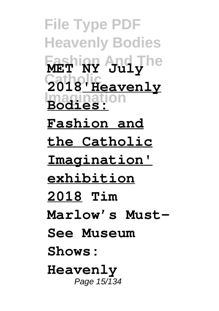**File Type PDF Heavenly Bodies Fashion And The MET NY July Catholic 2018'Heavenly Imagination Bodies: Fashion and the Catholic Imagination' exhibition 2018 Tim Marlow's Must-See Museum Shows: Heavenly** Page 15/134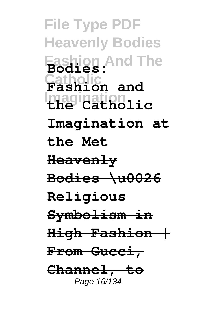**File Type PDF Heavenly Bodies Fashion And The Bodies: Catholic Fashion and Imagination the Catholic Imagination at the Met Heavenly Bodies \u0026 Religious Symbolism in High Fashion | From Gucci, Channel, to** Page 16/134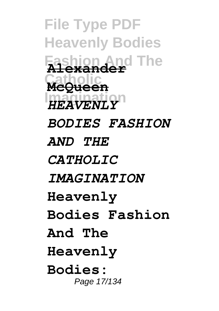**File Type PDF Heavenly Bodies Fashion And The Alexander Catholic McQueen Imagination** *HEAVENLY BODIES FASHION AND THE CATHOLIC IMAGINATION* **Heavenly Bodies Fashion And The Heavenly Bodies:** Page 17/134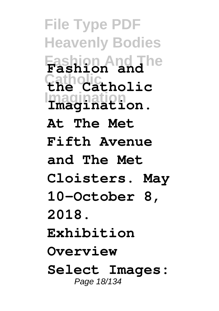**File Type PDF Heavenly Bodies Fashion And The Fashion and Catholic the Catholic Imagination Imagination. At The Met Fifth Avenue and The Met Cloisters. May 10–October 8, 2018. Exhibition Overview Select Images:** Page 18/134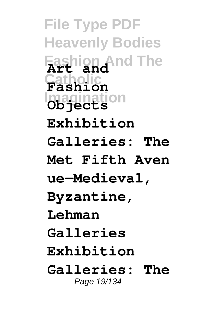**File Type PDF Heavenly Bodies Fashion And The Art and Catholic Fashion Imagination Objects Exhibition Galleries: The Met Fifth Aven ue—Medieval, Byzantine, Lehman Galleries Exhibition Galleries: The** Page 19/134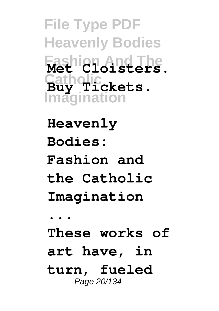**File Type PDF Heavenly Bodies Fashion And The Met Cloisters. Catholic Buy Tickets. Imagination**

**Heavenly Bodies: Fashion and the Catholic Imagination ... These works of art have, in turn, fueled** Page 20/134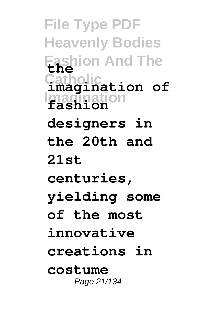**File Type PDF Heavenly Bodies Fashion And The the Catholic imagination of Imagination fashion designers in the 20th and 21st centuries, yielding some of the most innovative creations in costume** Page 21/134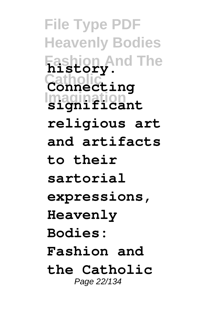**File Type PDF Heavenly Bodies Fashion And The history. Catholic Connecting Imagination significant religious art and artifacts to their sartorial expressions, Heavenly Bodies: Fashion and the Catholic** Page 22/134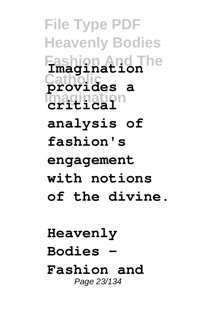**File Type PDF Heavenly Bodies Fashion And The Imagination Catholic provides a Imagination critical analysis of fashion's engagement with notions of the divine.**

**Heavenly Bodies - Fashion and** Page 23/134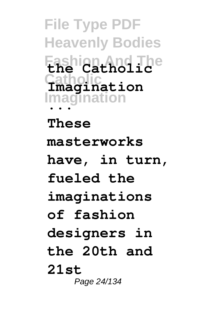**File Type PDF Heavenly Bodies Fashion And The the Catholic Catholic Imagination Imagination ...**

**These masterworks have, in turn, fueled the imaginations of fashion designers in the 20th and 21st** Page 24/134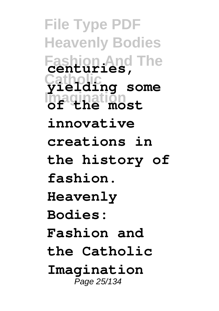**File Type PDF Heavenly Bodies Fashion And The centuries, Catholic yielding some Imagination of the most innovative creations in the history of fashion. Heavenly Bodies: Fashion and the Catholic Imagination** Page 25/134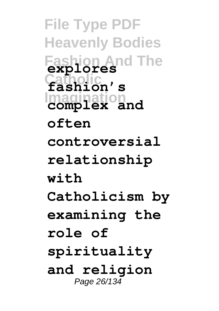**File Type PDF Heavenly Bodies Fashion And The explores Catholic fashion's Imagination complex and often controversial relationship with Catholicism by examining the role of spirituality and religion** Page 26/134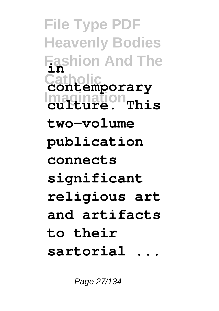**File Type PDF Heavenly Bodies Fashion And The in Catholic contemporary Imagination culture. This two-volume publication connects significant religious art and artifacts to their sartorial ...**

Page 27/134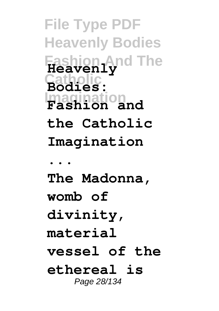**File Type PDF Heavenly Bodies Fashion And The Heavenly Catholic Bodies: Imagination Fashion and the Catholic Imagination ... The Madonna, womb of divinity, material vessel of the ethereal is** Page 28/134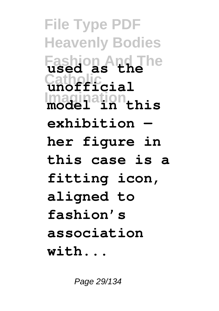**File Type PDF Heavenly Bodies Fashion And The used as the Catholic unofficial Imagination model in this exhibition her figure in this case is a fitting icon, aligned to fashion's association with...**

Page 29/134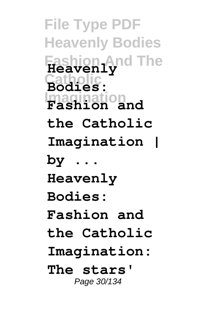**File Type PDF Heavenly Bodies Fashion And The Heavenly Catholic Bodies: Imagination Fashion and the Catholic Imagination | by ... Heavenly Bodies: Fashion and the Catholic Imagination: The stars'** Page 30/134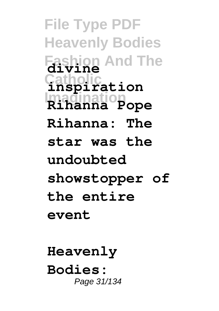**File Type PDF Heavenly Bodies Fashion And The divine Catholic inspiration Imagination Rihanna Pope Rihanna: The star was the undoubted showstopper of the entire event**

**Heavenly Bodies:** Page 31/134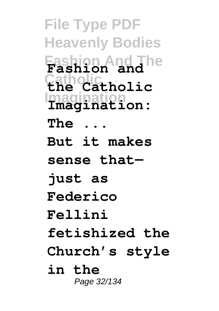**File Type PDF Heavenly Bodies Fashion And The Fashion and Catholic the Catholic Imagination Imagination: The ... But it makes sense that just as Federico Fellini fetishized the Church's style in the** Page 32/134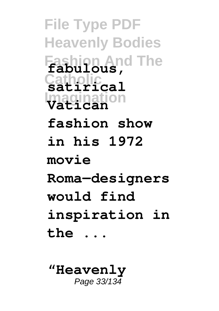**File Type PDF Heavenly Bodies Fashion And The fabulous, Catholic satirical Imagination Vatican fashion show in his 1972 movie Roma—designers would find inspiration in the ...**

**"Heavenly** Page 33/134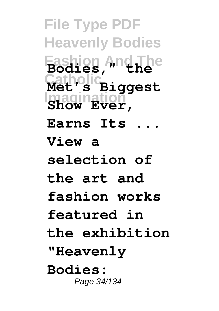**File Type PDF Heavenly Bodies Fashion And The Bodies," the Catholic Met's Biggest Imagination Show Ever, Earns Its ... View a selection of the art and fashion works featured in the exhibition "Heavenly Bodies:** Page 34/134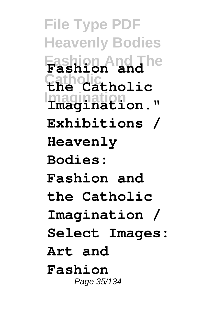**File Type PDF Heavenly Bodies Fashion And The Fashion and Catholic the Catholic Imagination Imagination." Exhibitions / Heavenly Bodies: Fashion and the Catholic Imagination / Select Images: Art and Fashion** Page 35/134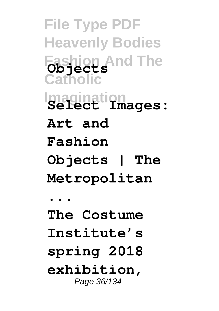**File Type PDF Heavenly Bodies Fashion And The Objects Catholic Imagination Select Images: Art and Fashion Objects | The Metropolitan ... The Costume Institute's spring 2018 exhibition,** Page 36/134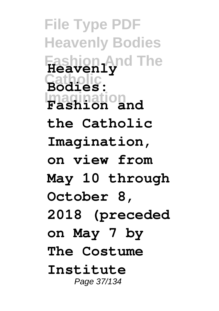**File Type PDF Heavenly Bodies Fashion And The Heavenly Catholic Bodies: Imagination Fashion and the Catholic Imagination, on view from May 10 through October 8, 2018 (preceded on May 7 by The Costume Institute** Page 37/134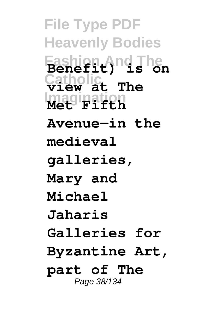**File Type PDF Heavenly Bodies Fashion And The Benefit) is on Catholic view at The Imagination Met Fifth Avenue—in the medieval galleries, Mary and Michael Jaharis Galleries for Byzantine Art, part of The** Page 38/134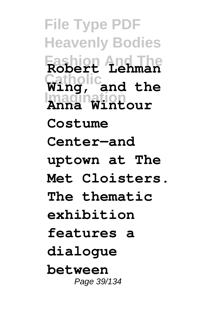**File Type PDF Heavenly Bodies Fashion And The Robert Lehman Catholic Wing, and the Imagination Anna Wintour Costume Center—and uptown at The Met Cloisters. The thematic exhibition features a dialogue between** Page 39/134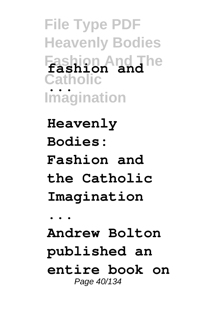**File Type PDF Heavenly Bodies Fashion And The fashion and Catholic Imagination ...**

**Heavenly Bodies: Fashion and the Catholic Imagination ...**

**Andrew Bolton published an entire book on** Page 40/134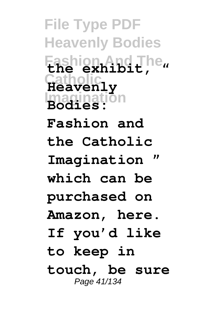**File Type PDF Heavenly Bodies Fashion And The the exhibit, " Catholic Heavenly Imagination Bodies: Fashion and the Catholic Imagination " which can be purchased on Amazon, here. If you'd like to keep in touch, be sure** Page 41/134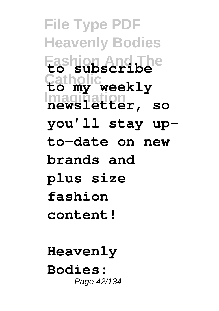**File Type PDF Heavenly Bodies Fashion And The to subscribe Catholic to my weekly Imagination newsletter, so you'll stay upto-date on new brands and plus size fashion content!**

**Heavenly Bodies:** Page 42/134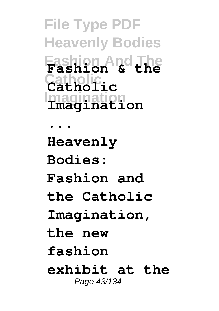**File Type PDF Heavenly Bodies Fashion And The Fashion & the Catholic Catholic Imagination ... Heavenly Bodies: Fashion and the Catholic Imagination, the new fashion exhibit at the** Page 43/134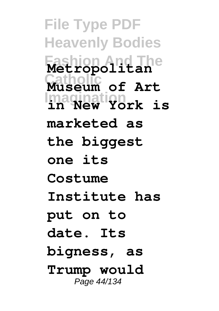**File Type PDF Heavenly Bodies Fashion And The Metropolitan Catholic Museum of Art Imagination in New York is marketed as the biggest one its Costume Institute has put on to date. Its bigness, as Trump would** Page 44/134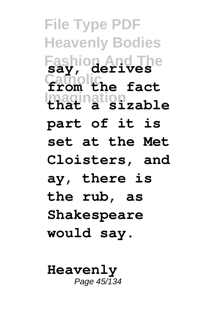**File Type PDF Heavenly Bodies Fashion And The say, derives Catholic from the fact Imagination that a sizable part of it is set at the Met Cloisters, and ay, there is the rub, as Shakespeare would say.**

**Heavenly** Page  $45/\overline{1}34$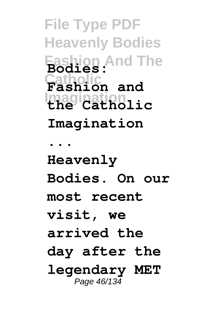**File Type PDF Heavenly Bodies Fashion And The Bodies: Catholic Fashion and Imagination the Catholic Imagination ... Heavenly Bodies. On our most recent visit, we arrived the day after the legendary MET** Page 46/134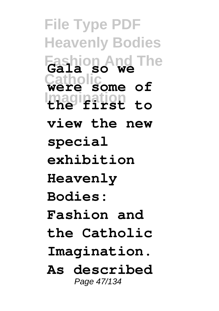**File Type PDF Heavenly Bodies Fashion And The Gala so we Catholic were some of Imagination the first to view the new special exhibition Heavenly Bodies: Fashion and the Catholic Imagination. As described** Page 47/134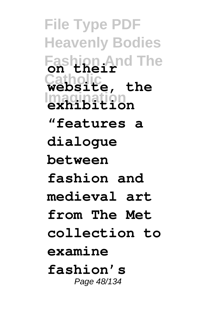**File Type PDF Heavenly Bodies Fashion And The on their Catholic website, the Imagination exhibition "features a dialogue between fashion and medieval art from The Met collection to examine fashion's** Page 48/134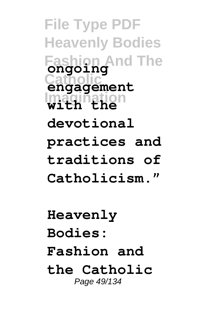**File Type PDF Heavenly Bodies Fashion And The ongoing Catholic engagement Imagination with the devotional practices and traditions of Catholicism."**

**Heavenly Bodies: Fashion and the Catholic** Page 49/134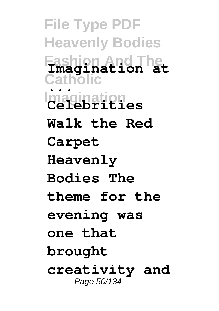**File Type PDF Heavenly Bodies Fashion And The Catholic Imagination Imagination at ... Celebrities Walk the Red Carpet Heavenly Bodies The theme for the evening was one that brought creativity and** Page 50/134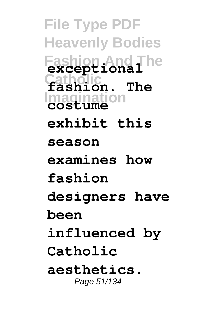**File Type PDF Heavenly Bodies Fashion And The exceptional Catholic fashion. The Imagination costume exhibit this season examines how fashion designers have been influenced by Catholic aesthetics.** Page 51/134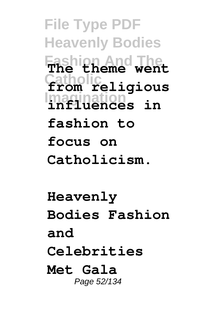**File Type PDF Heavenly Bodies Fashion And The The theme went Catholic from religious Imagination influences in fashion to focus on Catholicism.**

**Heavenly Bodies Fashion and Celebrities Met Gala** Page 52/134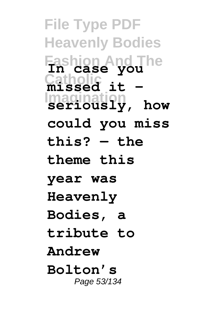**File Type PDF Heavenly Bodies Fashion And The In case you Catholic missed it – Imagination seriously, how could you miss this? — the theme this year was Heavenly Bodies, a tribute to Andrew Bolton's** Page 53/134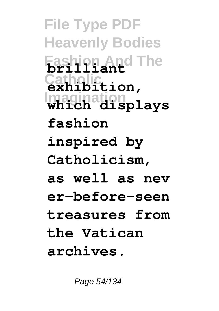**File Type PDF Heavenly Bodies Fashion And The brilliant Catholic exhibition, Imagination which displays fashion inspired by Catholicism, as well as nev er-before-seen treasures from the Vatican archives.**

Page 54/134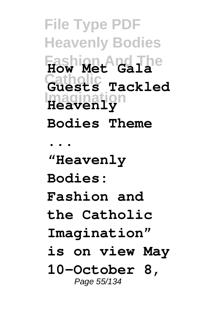**File Type PDF Heavenly Bodies Fashion And The How Met Gala Catholic Guests Tackled Imagination Heavenly Bodies Theme ... "Heavenly Bodies: Fashion and the Catholic Imagination" is on view May 10–October 8,** Page 55/134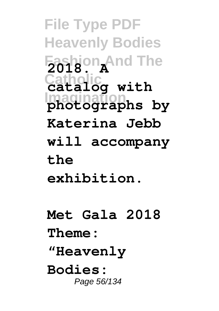**File Type PDF Heavenly Bodies Fashion And The 2018. A Catholic catalog with Imagination photographs by Katerina Jebb will accompany the exhibition. Met Gala 2018**

**Theme: "Heavenly**

**Bodies:** Page 56/134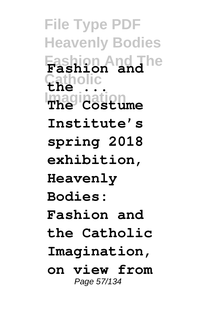**File Type PDF Heavenly Bodies Fashion And The Fashion and Catholic the ... Imagination The Costume Institute's spring 2018 exhibition, Heavenly Bodies: Fashion and the Catholic Imagination, on view from** Page 57/134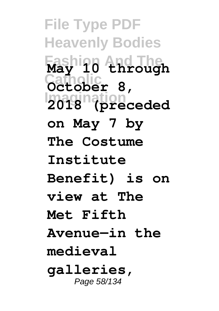**File Type PDF Heavenly Bodies Fashion And The May 10 through Catholic October 8, Imagination 2018 (preceded on May 7 by The Costume Institute Benefit) is on view at The Met Fifth Avenue—in the medieval galleries,** Page 58/134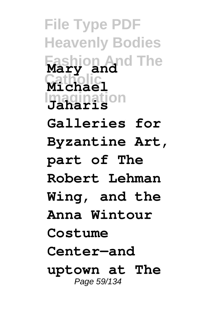**File Type PDF Heavenly Bodies Fashion And The Mary and Catholic Michael Imagination Jaharis Galleries for Byzantine Art, part of The Robert Lehman Wing, and the Anna Wintour Costume Center—and uptown at The** Page 59/134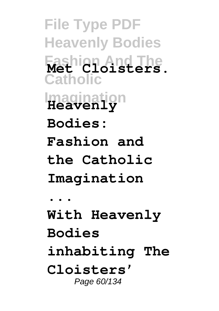**File Type PDF Heavenly Bodies Fashion And The Met Cloisters. Catholic Imagination Heavenly Bodies: Fashion and the Catholic Imagination ... With Heavenly Bodies inhabiting The Cloisters'** Page 60/134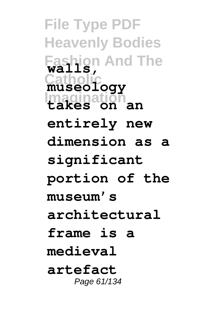**File Type PDF Heavenly Bodies Fashion And The walls, Catholic museology Imagination takes on an entirely new dimension as a significant portion of the museum's architectural frame is a medieval artefact** Page 61/134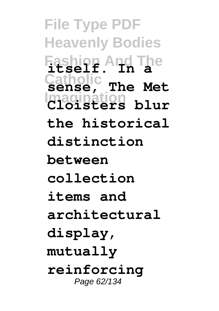**File Type PDF Heavenly Bodies Fashion And The itself. In a** Sense, **Imagination Cloisters blur sense, The Met the historical distinction between collection items and architectural display, mutually reinforcing** Page 62/134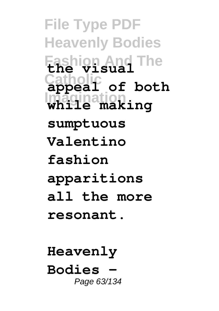**File Type PDF Heavenly Bodies Fashion And The the visual Catholic appeal of both Imagination while making sumptuous Valentino fashion apparitions all the more resonant.**

**Heavenly Bodies –** Page 63/134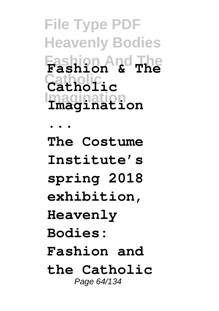**File Type PDF Heavenly Bodies Fashion And The Fashion & The Catholic Catholic Imagination**

**... The Costume Institute's spring 2018 exhibition, Heavenly Bodies: Fashion and the Catholic** Page 64/134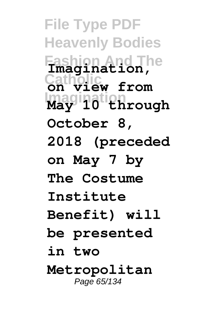**File Type PDF Heavenly Bodies Fashion And The Imagination, Catholic on view from Imagination May 10 through October 8, 2018 (preceded on May 7 by The Costume Institute Benefit) will be presented in two Metropolitan** Page 65/134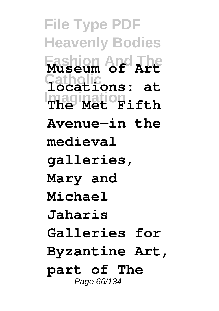**File Type PDF Heavenly Bodies Fashion And The Museum of Art Catholic locations: at Imagination The Met Fifth Avenue—in the medieval galleries, Mary and Michael Jaharis Galleries for Byzantine Art, part of The** Page 66/134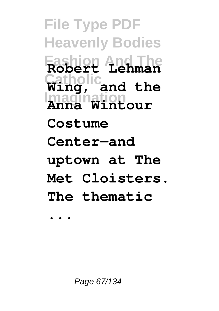**File Type PDF Heavenly Bodies Fashion And The Robert Lehman Catholic Wing, and the Imagination Anna Wintour Costume Center—and uptown at The Met Cloisters. The thematic**

**...**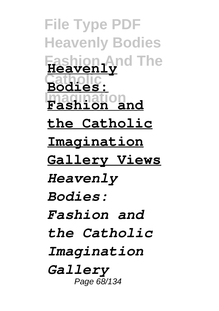**File Type PDF Heavenly Bodies Fashion And The Heavenly Catholic Bodies: Imagination Fashion and the Catholic Imagination Gallery Views** *Heavenly Bodies: Fashion and the Catholic Imagination Gallery* Page 68/134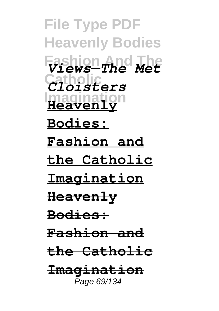**File Type PDF Heavenly Bodies Fashion And The** *Views—The Met* **Catholic** *Cloisters* **Imagination Heavenly Bodies: Fashion and the Catholic Imagination Heavenly Bodies: Fashion and the Catholic Imagination** Page 69/134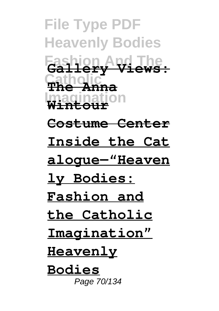**File Type PDF Heavenly Bodies Fashion And The Gallery Views: Catholic The Anna Imagination Wintour Costume Center Inside the Cat alogue—"Heaven ly Bodies: Fashion and the Catholic Imagination" Heavenly Bodies** Page 70/134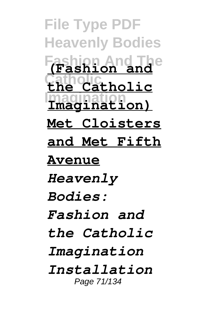**File Type PDF Heavenly Bodies Fashion And The (Fashion and Catholic the Catholic Imagination Imagination) Met Cloisters and Met Fifth Avenue** *Heavenly Bodies: Fashion and the Catholic Imagination Installation* Page 71/134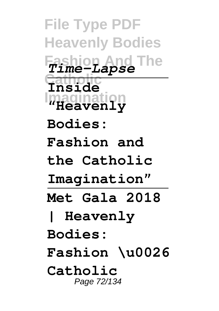**File Type PDF Heavenly Bodies Fashion And The** *Time-Lapse* **Catholic Inside Imagination "Heavenly Bodies: Fashion and the Catholic Imagination" Met Gala 2018 | Heavenly Bodies: Fashion \u0026 Catholic** Page 72/134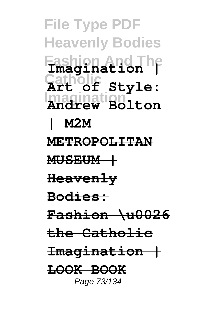**File Type PDF Heavenly Bodies Fashion And The Imagination | Catholic Art of Style: Imagination Andrew Bolton | M2M METROPOLITAN MUSEUM | Heavenly Bodies: Fashion \u0026 the Catholic Imagination | LOOK BOOK** Page 73/134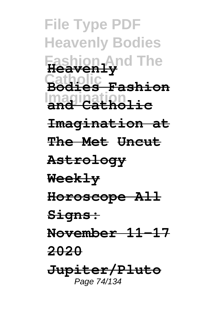**File Type PDF Heavenly Bodies Fashion And The Heavenly Catholic Bodies Fashion Imagination and Catholic Imagination at The Met Uncut Astrology Weekly Horoscope All Signs: November 11-17 2020 Jupiter/Pluto** Page 74/134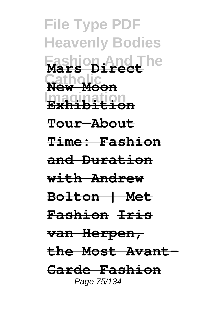**File Type PDF Heavenly Bodies Fashion And The Mars Direct Catholic New Moon Imagination Exhibition Tour—About Time: Fashion and Duration with Andrew Bolton | Met Fashion Iris van Herpen, the Most Avant-Garde Fashion** Page 75/134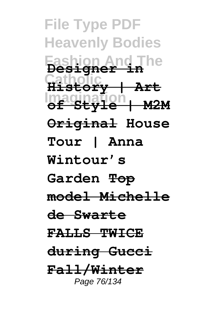**File Type PDF Heavenly Bodies Fashion And The Designer in Catholic History | Art Imagination of Style | M2M Original House Tour | Anna Wintour's Garden Top model Michelle de Swarte FALLS TWICE during Gucci Fall/Winter** Page 76/134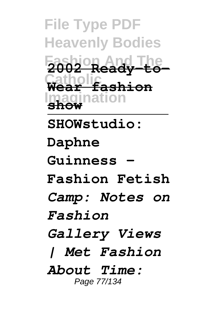**File Type PDF Heavenly Bodies Fashion And The 2002 Ready-to-Catholic Wear fashion Imagination show SHOWstudio: Daphne Guinness - Fashion Fetish** *Camp: Notes on Fashion Gallery Views | Met Fashion About Time:* Page 77/134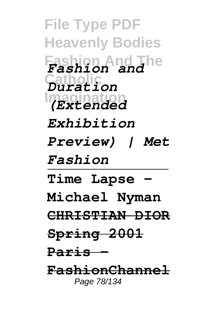**File Type PDF Heavenly Bodies Fashion And The** *Fashion and* **Catholic** *Duration* **Imagination** *(Extended Exhibition Preview) | Met Fashion* **Time Lapse - Michael Nyman CHRISTIAN DIOR Spring 2001 Paris - FashionChannel** Page 78/134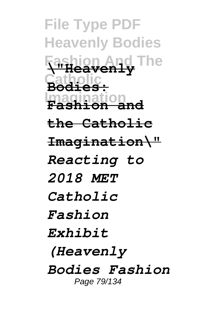**File Type PDF Heavenly Bodies Fashion And The \"Heavenly Catholic Bodies: Imagination Fashion and the Catholic Imagination\"** *Reacting to 2018 MET Catholic Fashion Exhibit (Heavenly Bodies Fashion* Page 79/134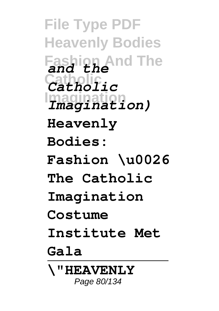**File Type PDF Heavenly Bodies Fashion And The** *and the* **Catholic** *Catholic* **Imagination** *Imagination)* **Heavenly Bodies: Fashion \u0026 The Catholic Imagination Costume Institute Met Gala \"HEAVENLY** Page 80/134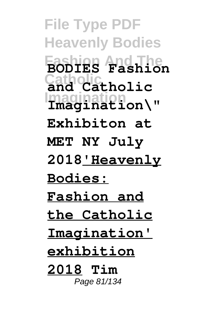**File Type PDF Heavenly Bodies Fashion And The BODIES Fashion Catholic and Catholic Imagination Imagination\" Exhibiton at MET NY July 2018'Heavenly Bodies: Fashion and the Catholic Imagination' exhibition 2018 Tim** Page 81/134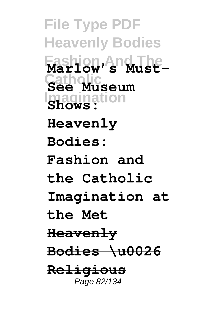**File Type PDF Heavenly Bodies Fashion And The Marlow's Must-Catholic See Museum Imagination Shows: Heavenly Bodies: Fashion and the Catholic Imagination at the Met Heavenly Bodies \u0026 Religious** Page 82/134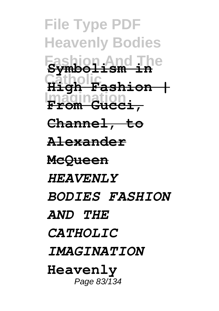**File Type PDF Heavenly Bodies Fashion And The Symbolism in Catholic High Fashion | Imagination From Gucci, Channel, to Alexander McQueen** *HEAVENLY BODIES FASHION AND THE CATHOLIC IMAGINATION* **Heavenly** Page 83/134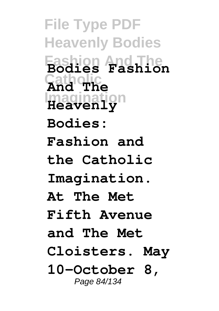**File Type PDF Heavenly Bodies Fashion And The Bodies Fashion Catholic And The Imagination Heavenly Bodies: Fashion and the Catholic Imagination. At The Met Fifth Avenue and The Met Cloisters. May 10–October 8,** Page 84/134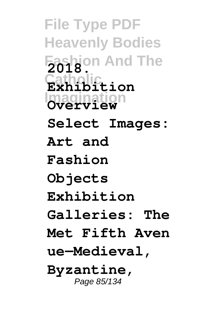**File Type PDF Heavenly Bodies Fashion And The 2018. Catholic Exhibition Imagination Overview Select Images: Art and Fashion Objects Exhibition Galleries: The Met Fifth Aven ue—Medieval, Byzantine,** Page 85/134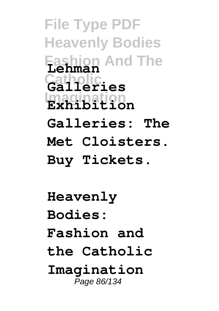**File Type PDF Heavenly Bodies Fashion And The Lehman Catholic Galleries Imagination Exhibition Galleries: The Met Cloisters. Buy Tickets. Heavenly Bodies:**

**Fashion and**

**the Catholic**

**Imagination** Page 86/134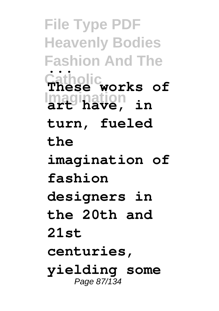**File Type PDF Heavenly Bodies Fashion And The Catholic Imagination art have, in ... These works of turn, fueled the imagination of fashion designers in the 20th and 21st centuries, yielding some** Page 87/134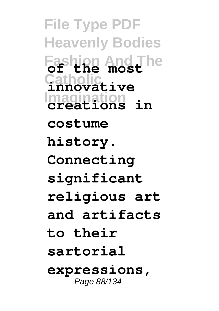**File Type PDF Heavenly Bodies Fashion And The of the most Catholic innovative Imagination creations in costume history. Connecting significant religious art and artifacts to their sartorial expressions,** Page 88/134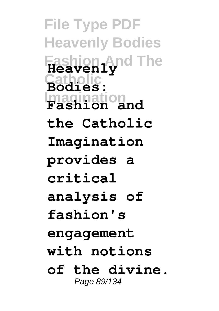**File Type PDF Heavenly Bodies Fashion And The Heavenly Catholic Bodies: Imagination Fashion and the Catholic Imagination provides a critical analysis of fashion's engagement with notions of the divine.** Page 89/134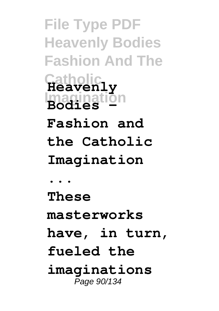**File Type PDF Heavenly Bodies Fashion And The Catholic Heavenly Imagination Fashion and the Catholic Imagination ... These masterworks have, in turn, fueled the imaginations** Page 90/134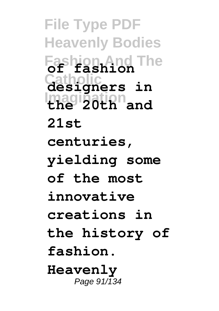**File Type PDF Heavenly Bodies Fashion And The of fashion Catholic designers in Imagination the 20th and 21st centuries, yielding some of the most innovative creations in the history of fashion. Heavenly** Page  $91/\overline{1}34$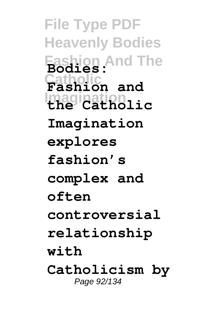**File Type PDF Heavenly Bodies Fashion And The Bodies: Catholic Fashion and Imagination the Catholic Imagination explores fashion's complex and often controversial relationship with Catholicism by** Page 92/134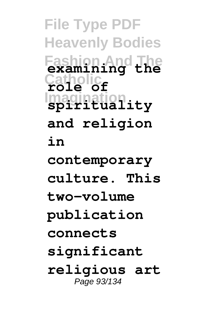**File Type PDF Heavenly Bodies Fashion And The examining the Catholic role of Imagination spirituality and religion in contemporary culture. This two-volume publication connects significant religious art** Page 93/134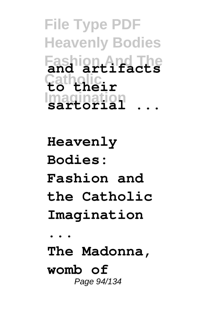**File Type PDF Heavenly Bodies Fashion And The and artifacts Catholic to their Imagination sartorial ...**

**Heavenly Bodies: Fashion and the Catholic Imagination ... The Madonna, womb of** Page 94/134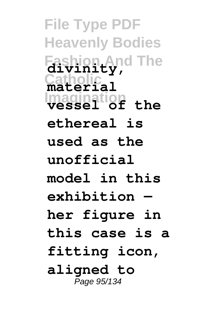**File Type PDF Heavenly Bodies Fashion And The divinity, Catholic material Imagination vessel of the ethereal is used as the unofficial model in this exhibition her figure in this case is a fitting icon, aligned to** Page 95/134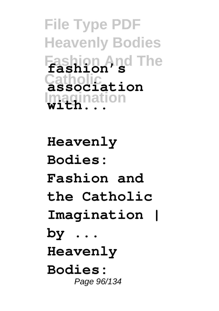**File Type PDF Heavenly Bodies Fashion And The fashion's Catholic association Imagination with...**

**Heavenly Bodies: Fashion and the Catholic Imagination | by ... Heavenly Bodies:** Page 96/134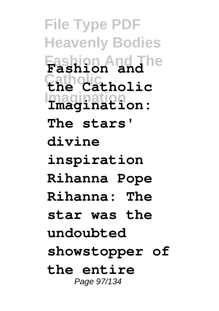**File Type PDF Heavenly Bodies Fashion And The Fashion and Catholic the Catholic Imagination Imagination: The stars' divine inspiration Rihanna Pope Rihanna: The star was the undoubted showstopper of the entire** Page 97/134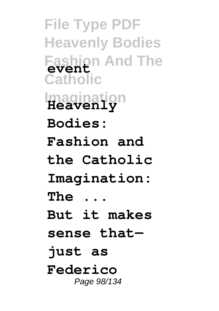**File Type PDF Heavenly Bodies Fashion And The event Catholic Imagination Heavenly Bodies: Fashion and the Catholic Imagination: The ... But it makes sense that just as Federico** Page 98/134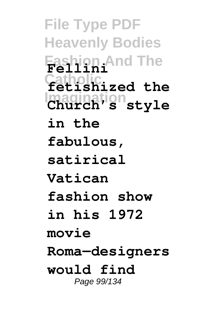**File Type PDF Heavenly Bodies Fashion And The Fellini Catholic fetishized the Imagination Church's style in the fabulous, satirical Vatican fashion show in his 1972 movie Roma—designers would find** Page 99/134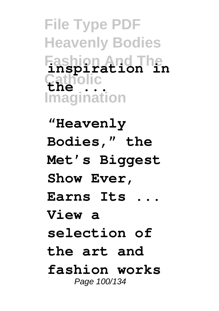**File Type PDF Heavenly Bodies Fashion And The inspiration in Catholic Imagination the ...**

**"Heavenly Bodies," the Met's Biggest Show Ever, Earns Its ... View a selection of the art and fashion works** Page 100/134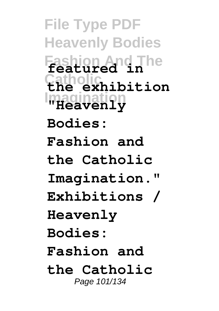**File Type PDF Heavenly Bodies Fashion And The featured in Catholic the exhibition Imagination "Heavenly Bodies: Fashion and the Catholic Imagination." Exhibitions / Heavenly Bodies: Fashion and the Catholic** Page 101/134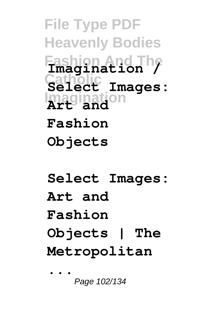**File Type PDF Heavenly Bodies Fashion And The Imagination / Catholic Select Images: Imagination Art and Fashion Objects**

**Select Images: Art and Fashion Objects | The Metropolitan ...**

Page 102/134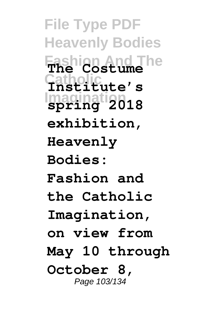**File Type PDF Heavenly Bodies Fashion And The The Costume Catholic Institute's Imagination spring 2018 exhibition, Heavenly Bodies: Fashion and the Catholic Imagination, on view from May 10 through October 8,** Page 103/134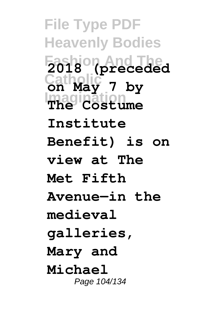**File Type PDF Heavenly Bodies Fashion And The 2018 (preceded Catholic on May 7 by Imagination The Costume Institute Benefit) is on view at The Met Fifth Avenue—in the medieval galleries, Mary and Michael** Page 104/134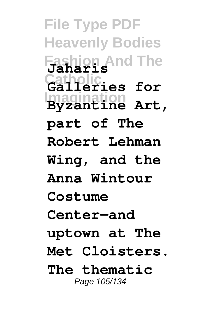**File Type PDF Heavenly Bodies Fashion And The Jaharis Catholic Galleries for Imagination Byzantine Art, part of The Robert Lehman Wing, and the Anna Wintour Costume Center—and uptown at The Met Cloisters. The thematic** Page 105/134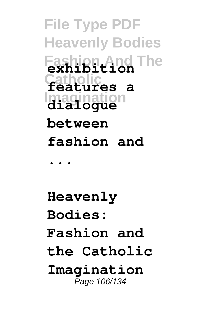**File Type PDF Heavenly Bodies Fashion And The exhibition Catholic features a Imagination dialogue between fashion and ...**

**Heavenly Bodies: Fashion and the Catholic Imagination** Page 106/134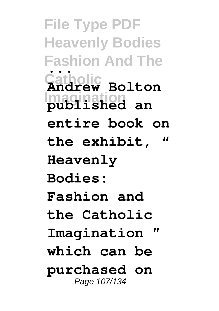**File Type PDF Heavenly Bodies Fashion And The Catholic Imagination published an ... Andrew Bolton entire book on the exhibit, " Heavenly Bodies: Fashion and the Catholic** Imagination **which can be purchased on** Page 107/134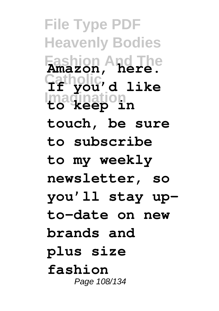**File Type PDF Heavenly Bodies Fashion And The Amazon, here. Catholic If you'd like Imagination to keep in touch, be sure to subscribe to my weekly newsletter, so you'll stay upto-date on new brands and plus size fashion** Page 108/134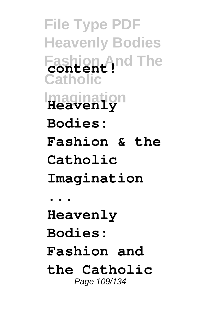**File Type PDF Heavenly Bodies Fashion And The content! Catholic Imagination Heavenly Bodies: Fashion & the Catholic Imagination ... Heavenly Bodies: Fashion and the Catholic** Page 109/134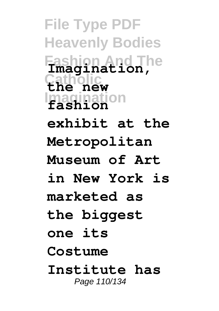**File Type PDF Heavenly Bodies Fashion And The Imagination, Catholic the new Imagination fashion exhibit at the Metropolitan Museum of Art in New York is marketed as the biggest one its Costume Institute has** Page 110/134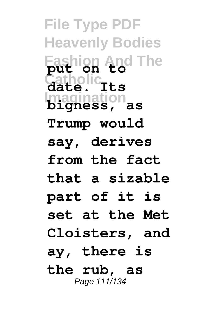**File Type PDF Heavenly Bodies Fashion And The put on to Catholic date. Its Imagination bigness, as Trump would say, derives from the fact that a sizable part of it is set at the Met Cloisters, and ay, there is the rub, as** Page 111/134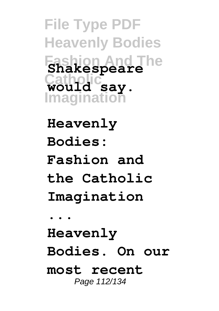**File Type PDF Heavenly Bodies Fashion And The Shakespeare Catholic would say. Imagination**

**Heavenly Bodies: Fashion and the Catholic Imagination ... Heavenly Bodies. On our most recent** Page 112/134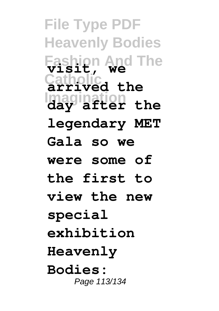**File Type PDF Heavenly Bodies Fashion And The visit, we Catholic arrived the Imagination day after the legendary MET Gala so we were some of the first to view the new special exhibition Heavenly Bodies:** Page 113/134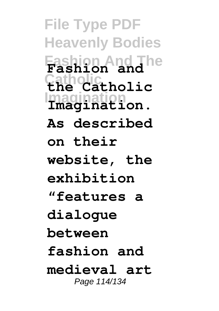**File Type PDF Heavenly Bodies Fashion And The Fashion and Catholic the Catholic Imagination Imagination. As described on their website, the exhibition "features a dialogue between fashion and medieval art** Page 114/134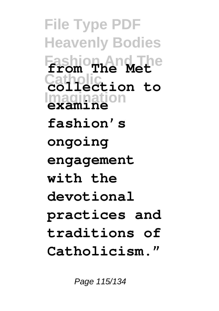**File Type PDF Heavenly Bodies Fashion And The from The Met Catholic collection to Imagination examine fashion's ongoing engagement with the devotional practices and traditions of Catholicism."**

Page 115/134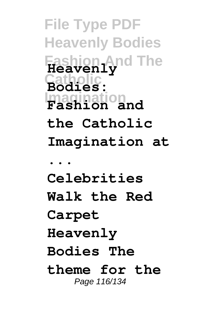**File Type PDF Heavenly Bodies Fashion And The Heavenly Catholic Bodies: Imagination Fashion and the Catholic Imagination at ... Celebrities Walk the Red Carpet Heavenly Bodies The theme for the** Page 116/134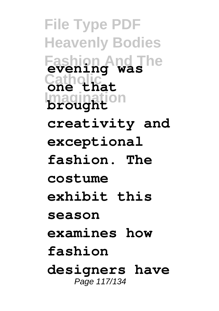**File Type PDF Heavenly Bodies Fashion And The evening was Catholic one that Imagination brought creativity and exceptional fashion. The costume exhibit this season examines how fashion designers have** Page 117/134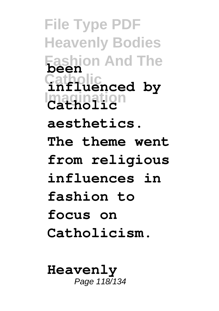**File Type PDF Heavenly Bodies Fashion And The been Catholic influenced by Imagination Catholic aesthetics. The theme went from religious influences in fashion to focus on Catholicism.**

**Heavenly** Page 118/134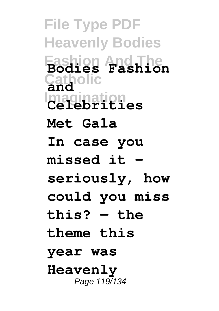**File Type PDF Heavenly Bodies Fashion And The Bodies Fashion Catholic and Imagination Celebrities Met Gala In case you missed it – seriously, how could you miss this? — the theme this year was Heavenly** Page 119/134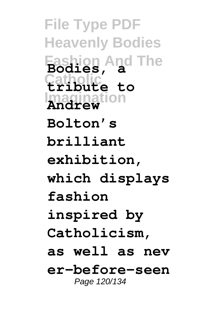**File Type PDF Heavenly Bodies Fashion And The Bodies, a Catholic tribute to Imagination Andrew Bolton's brilliant exhibition, which displays fashion inspired by Catholicism, as well as nev er-before-seen** Page 120/134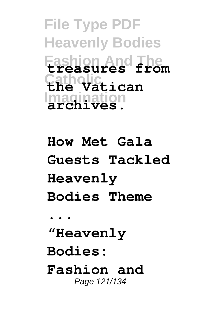**File Type PDF Heavenly Bodies Fashion And The treasures from Catholic the Vatican Imagination archives.**

**How Met Gala Guests Tackled Heavenly Bodies Theme ... "Heavenly Bodies: Fashion and** Page 121/134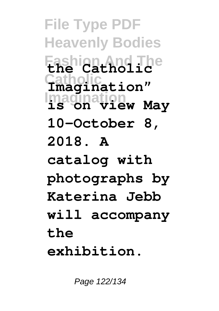**File Type PDF Heavenly Bodies Fashion And The the Catholic Catholic Imagination" Imagination is on view May 10–October 8, 2018. A catalog with photographs by Katerina Jebb will accompany the exhibition.**

Page 122/134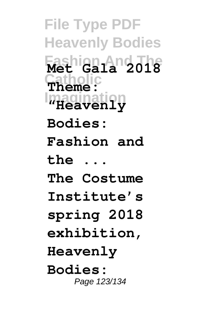**File Type PDF Heavenly Bodies Fashion And The Met Gala 2018 Catholic Theme: Imagination "Heavenly Bodies: Fashion and the ... The Costume Institute's spring 2018 exhibition, Heavenly Bodies:** Page 123/134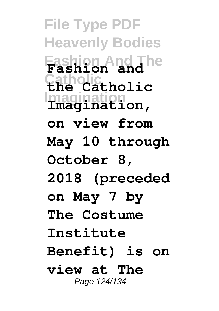**File Type PDF Heavenly Bodies Fashion And The Fashion and Catholic the Catholic Imagination Imagination, on view from May 10 through October 8, 2018 (preceded on May 7 by The Costume Institute Benefit) is on view at The** Page 124/134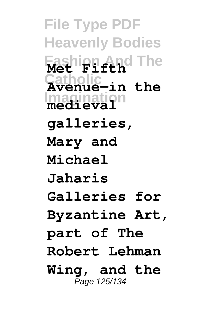**File Type PDF Heavenly Bodies Fashion And The Met Fifth Catholic Avenue—in the Imagination medieval galleries, Mary and Michael Jaharis Galleries for Byzantine Art, part of The Robert Lehman Wing, and the** Page 125/134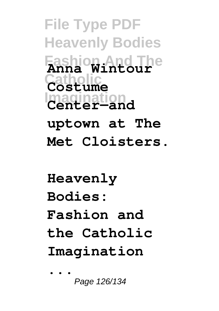**File Type PDF Heavenly Bodies Fashion And The Anna Wintour Catholic Costume Imagination Center—and uptown at The Met Cloisters.**

**Heavenly Bodies: Fashion and the Catholic Imagination ...**

Page 126/134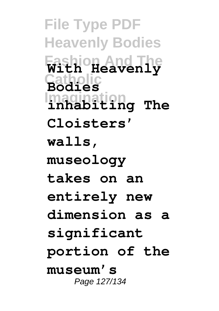**File Type PDF Heavenly Bodies Fashion And The With Heavenly Catholic Bodies Imagination inhabiting The Cloisters' walls, museology takes on an entirely new dimension as a significant portion of the museum's** Page 127/134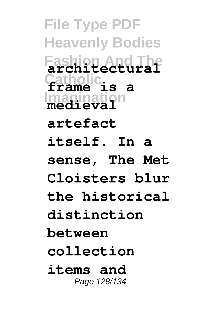**File Type PDF Heavenly Bodies Fashion And The architectural Catholic frame is a Imagination medieval artefact itself. In a sense, The Met Cloisters blur the historical distinction between collection items and** Page 128/134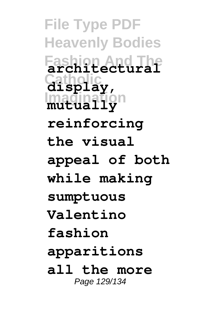**File Type PDF Heavenly Bodies Fashion And The architectural Catholic display, Imagination mutually reinforcing the visual appeal of both while making sumptuous Valentino fashion apparitions all the more** Page 129/134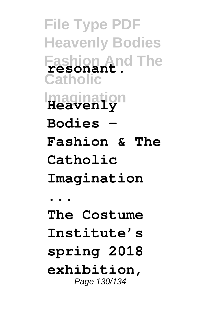**File Type PDF Heavenly Bodies Fashion And The resonant. Catholic Imagination Heavenly Bodies – Fashion & The Catholic Imagination ... The Costume Institute's spring 2018 exhibition,** Page 130/134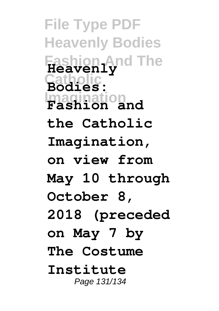**File Type PDF Heavenly Bodies Fashion And The Heavenly Catholic Bodies: Imagination Fashion and the Catholic Imagination, on view from May 10 through October 8, 2018 (preceded on May 7 by The Costume Institute** Page 131/134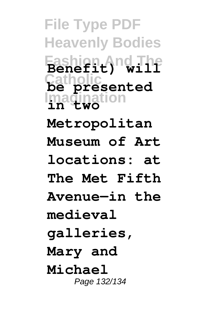**File Type PDF Heavenly Bodies Fashion And The Benefit) will Catholic be presented Imagination in two Metropolitan Museum of Art locations: at The Met Fifth Avenue—in the medieval galleries, Mary and Michael** Page 132/134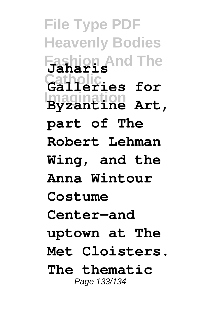**File Type PDF Heavenly Bodies Fashion And The Jaharis Catholic Galleries for Imagination Byzantine Art, part of The Robert Lehman Wing, and the Anna Wintour Costume Center—and uptown at The Met Cloisters. The thematic** Page 133/134